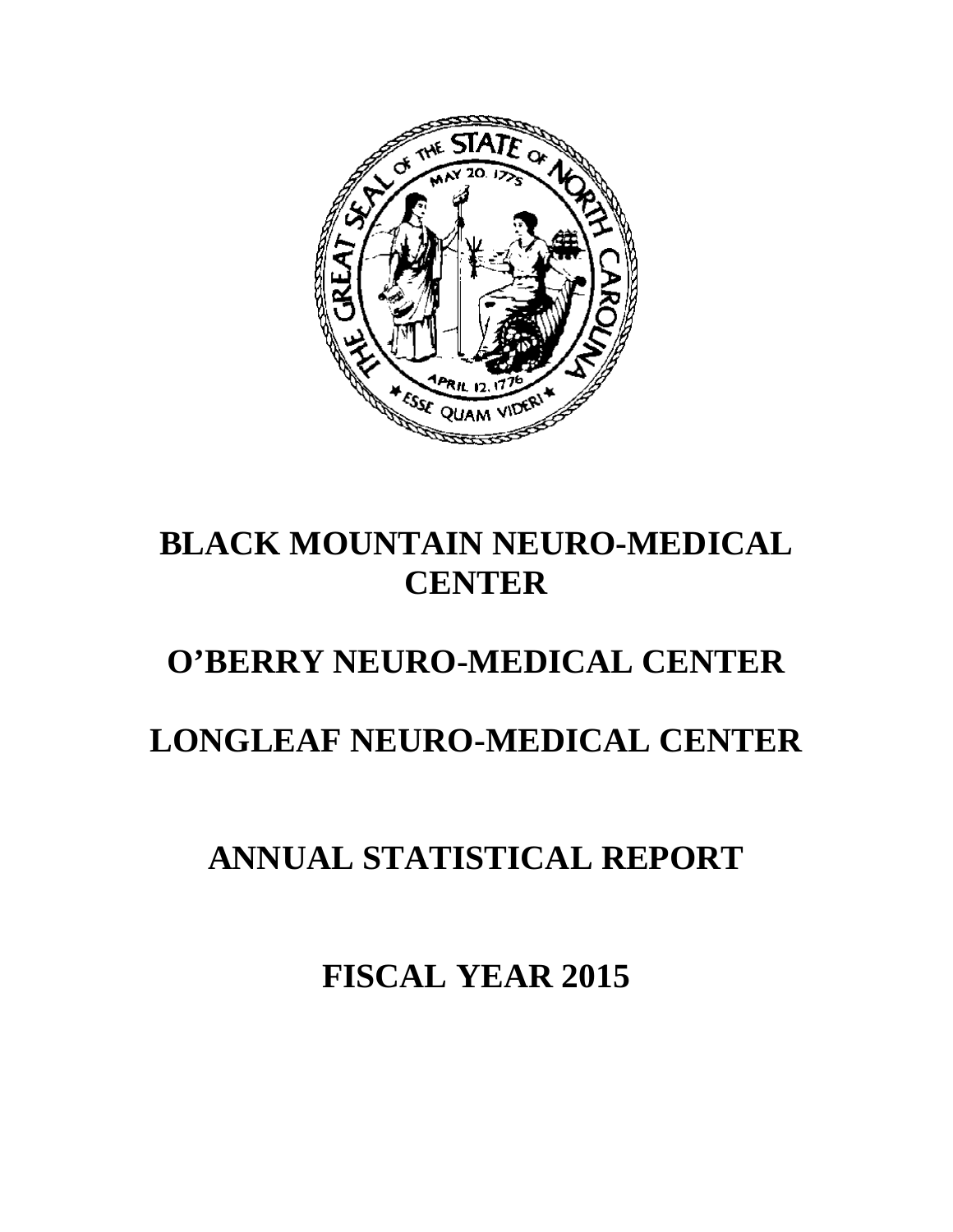

# **BLACK MOUNTAIN NEURO-MEDICAL CENTER**

# **O'BERRY NEURO-MEDICAL CENTER**

# **LONGLEAF NEURO-MEDICAL CENTER**

# **ANNUAL STATISTICAL REPORT**

**FISCAL YEAR 2015**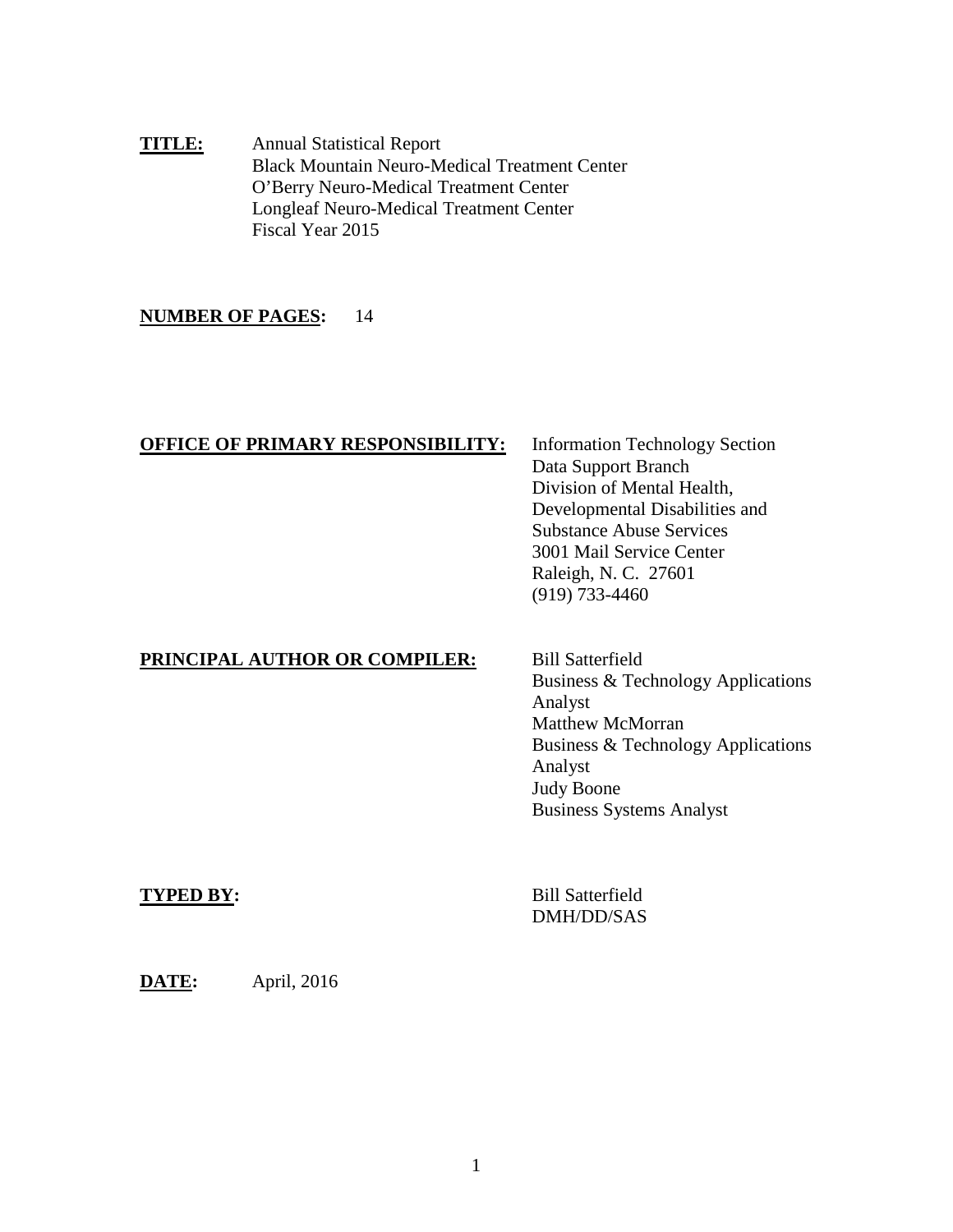**TITLE:** Annual Statistical Report Black Mountain Neuro-Medical Treatment Center O'Berry Neuro-Medical Treatment Center Longleaf Neuro-Medical Treatment Center Fiscal Year 2015

## **NUMBER OF PAGES:** 14

### **OFFICE OF PRIMARY RESPONSIBILITY:** Information Technology Section

Data Support Branch Division of Mental Health, Developmental Disabilities and Substance Abuse Services 3001 Mail Service Center Raleigh, N. C. 27601 (919) 733-4460

## **PRINCIPAL AUTHOR OR COMPILER:** Bill Satterfield

Business & Technology Applications Analyst Matthew McMorran Business & Technology Applications Analyst Judy Boone Business Systems Analyst

**TYPED BY:** Bill Satterfield DMH/DD/SAS

**DATE:** April, 2016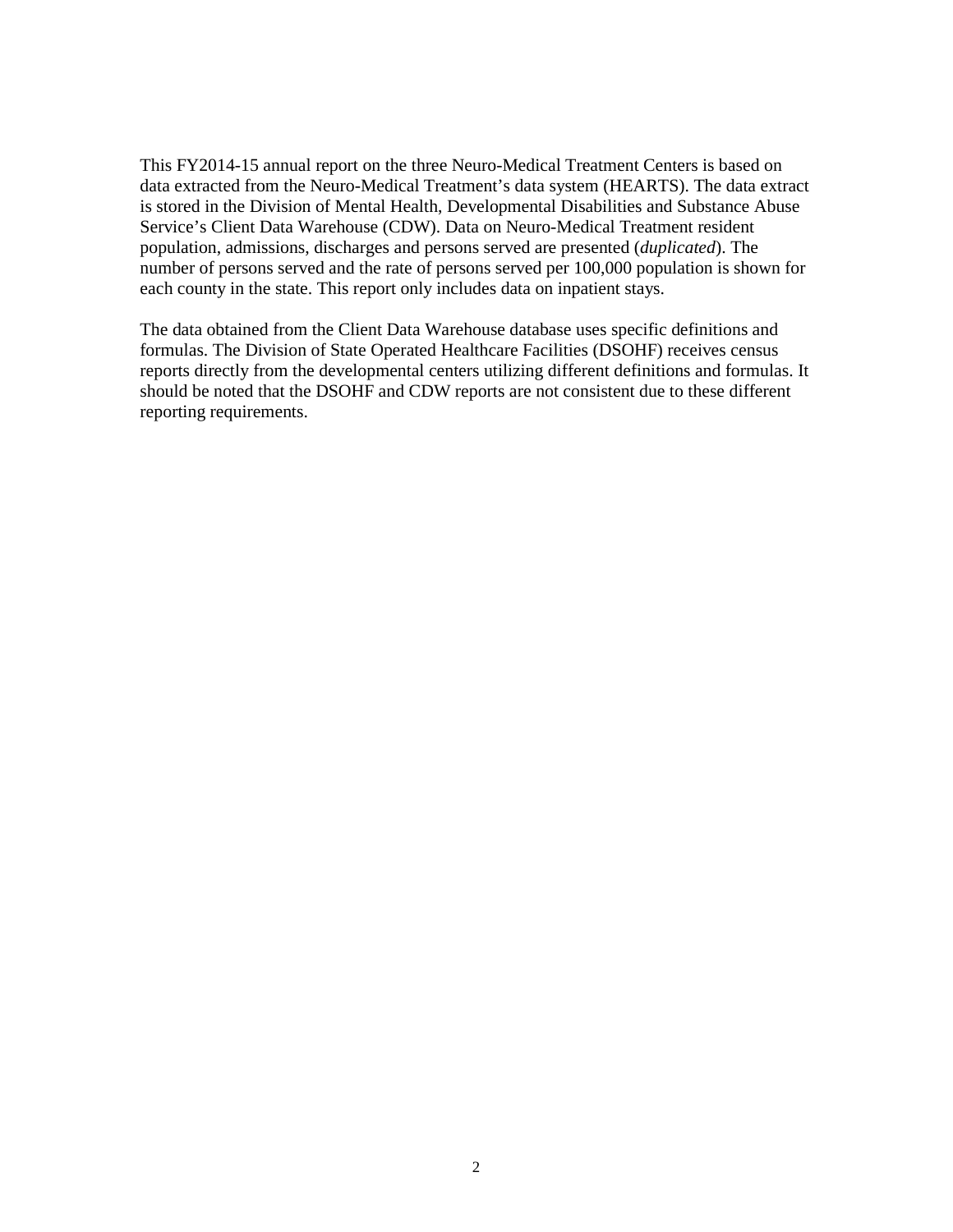This FY2014-15 annual report on the three Neuro-Medical Treatment Centers is based on data extracted from the Neuro-Medical Treatment's data system (HEARTS). The data extract is stored in the Division of Mental Health, Developmental Disabilities and Substance Abuse Service's Client Data Warehouse (CDW). Data on Neuro-Medical Treatment resident population, admissions, discharges and persons served are presented (*duplicated*). The number of persons served and the rate of persons served per 100,000 population is shown for each county in the state. This report only includes data on inpatient stays.

The data obtained from the Client Data Warehouse database uses specific definitions and formulas. The Division of State Operated Healthcare Facilities (DSOHF) receives census reports directly from the developmental centers utilizing different definitions and formulas. It should be noted that the DSOHF and CDW reports are not consistent due to these different reporting requirements.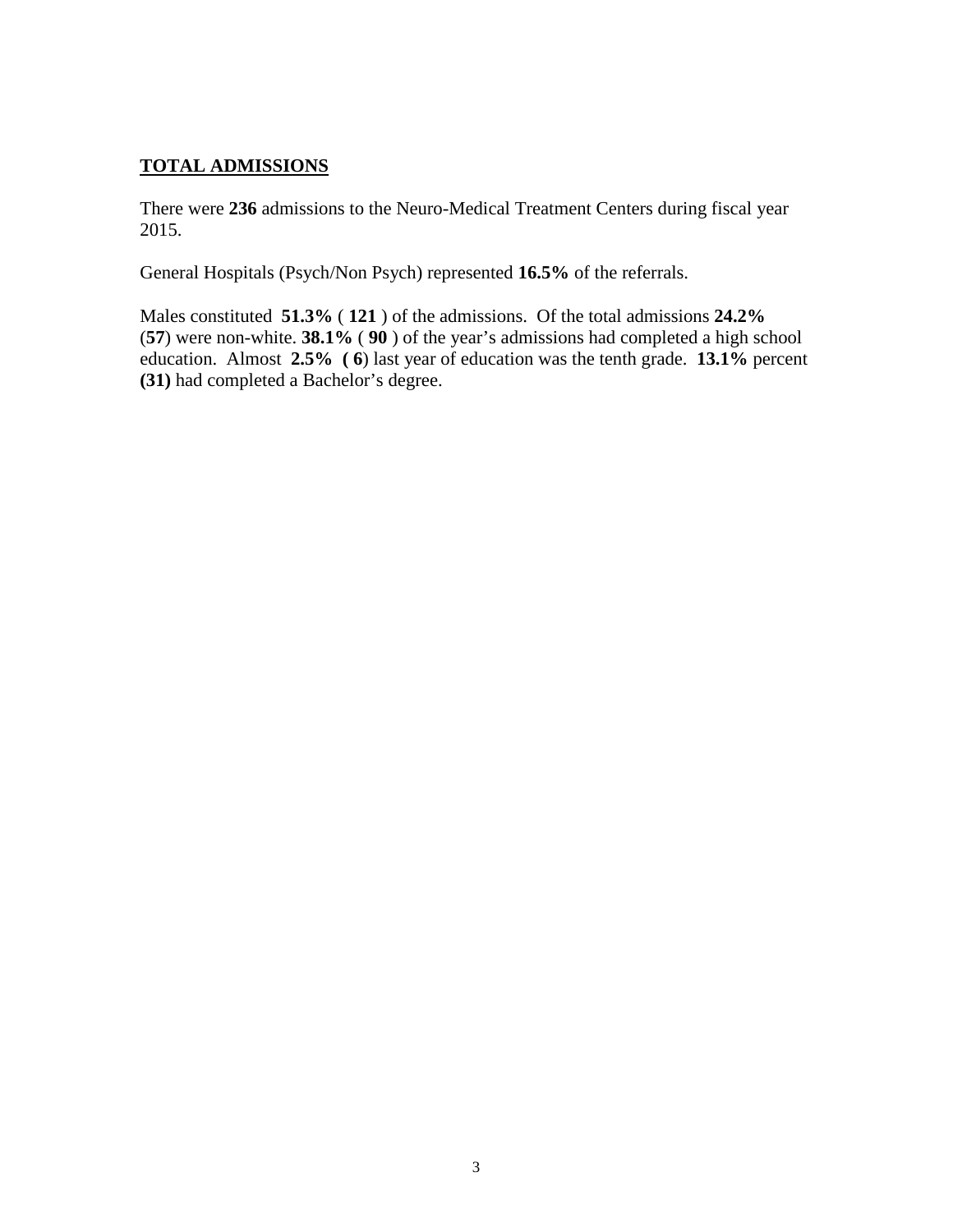# **TOTAL ADMISSIONS**

There were **236** admissions to the Neuro-Medical Treatment Centers during fiscal year 2015.

General Hospitals (Psych/Non Psych) represented **16.5%** of the referrals.

Males constituted **51.3%** ( **121** ) of the admissions. Of the total admissions **24.2%** (**57**) were non-white. **38.1%** ( **90** ) of the year's admissions had completed a high school education. Almost **2.5% ( 6**) last year of education was the tenth grade. **13.1%** percent **(31)** had completed a Bachelor's degree.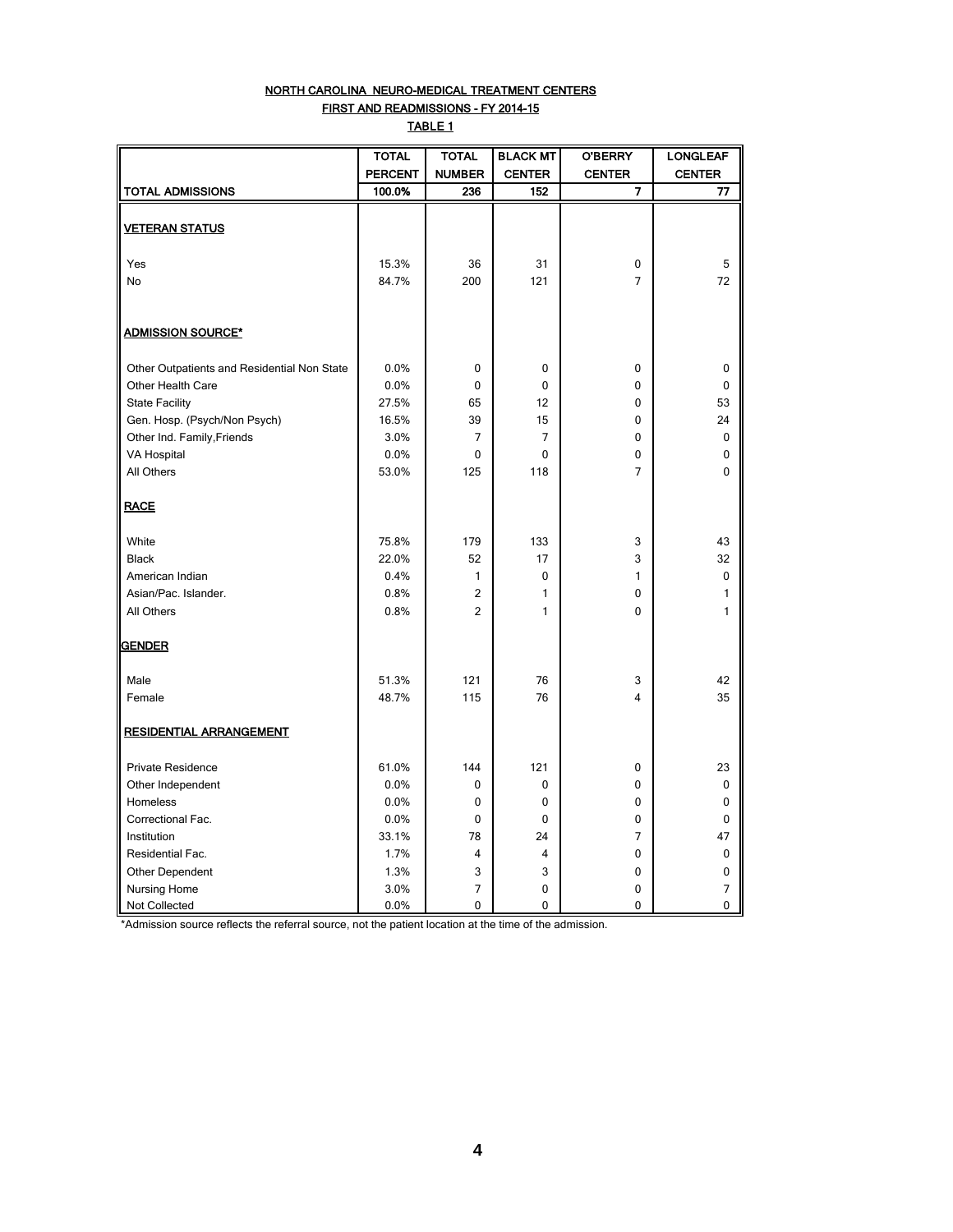#### NORTH CAROLINA NEURO-MEDICAL TREATMENT CENTERS FIRST AND READMISSIONS - FY 2014-15

TABLE 1

|                                             | <b>TOTAL</b>   | <b>TOTAL</b>   | <b>BLACK MT</b> | <b>O'BERRY</b> | <b>LONGLEAF</b> |
|---------------------------------------------|----------------|----------------|-----------------|----------------|-----------------|
|                                             | <b>PERCENT</b> | <b>NUMBER</b>  | <b>CENTER</b>   | <b>CENTER</b>  | <b>CENTER</b>   |
| TOTAL ADMISSIONS                            | 100.0%         | 236            | 152             | 7              | 77              |
| <b>VETERAN STATUS</b>                       |                |                |                 |                |                 |
|                                             |                |                |                 |                |                 |
| Yes                                         | 15.3%          | 36             | 31              | 0              | 5               |
| No                                          | 84.7%          | 200            | 121             | $\overline{7}$ | 72              |
|                                             |                |                |                 |                |                 |
| <b>ADMISSION SOURCE*</b>                    |                |                |                 |                |                 |
|                                             |                |                |                 |                |                 |
| Other Outpatients and Residential Non State | 0.0%           | $\mathbf 0$    | 0               | 0              | 0               |
| Other Health Care                           | 0.0%           | 0              | 0               | 0              | 0               |
| <b>State Facility</b>                       | 27.5%          | 65             | 12              | 0              | 53              |
| Gen. Hosp. (Psych/Non Psych)                | 16.5%          | 39             | 15              | 0              | 24              |
| Other Ind. Family, Friends                  | 3.0%           | 7              | $\overline{7}$  | 0              | 0               |
| VA Hospital                                 | 0.0%           | 0              | 0               | 0              | 0               |
| All Others                                  | 53.0%          | 125            | 118             | 7              | $\mathbf{0}$    |
| <b>RACE</b>                                 |                |                |                 |                |                 |
| White                                       | 75.8%          | 179            | 133             | 3              | 43              |
| <b>Black</b>                                | 22.0%          | 52             | 17              | 3              | 32              |
| American Indian                             | 0.4%           | $\mathbf{1}$   | 0               | 1              | $\Omega$        |
| Asian/Pac. Islander.                        | 0.8%           | $\overline{2}$ | 1               | 0              | 1               |
| All Others                                  | 0.8%           | $\overline{2}$ | 1               | 0              | 1               |
| <b>GENDER</b>                               |                |                |                 |                |                 |
| Male                                        | 51.3%          | 121            | 76              | 3              | 42              |
| Female                                      | 48.7%          | 115            | 76              | 4              | 35              |
|                                             |                |                |                 |                |                 |
| <b>RESIDENTIAL ARRANGEMENT</b>              |                |                |                 |                |                 |
| Private Residence                           | 61.0%          | 144            | 121             | 0              | 23              |
| Other Independent                           | 0.0%           | 0              | 0               | 0              | 0               |
| Homeless                                    | 0.0%           | 0              | 0               | 0              | 0               |
| Correctional Fac.                           | 0.0%           | 0              | 0               | 0              | 0               |
| Institution                                 | 33.1%          | 78             | 24              | 7              | 47              |
| Residential Fac.                            | 1.7%           | 4              | 4               | 0              | 0               |
| Other Dependent                             | 1.3%           | 3              | 3               | 0              | 0               |
| Nursing Home                                | 3.0%           | 7              | 0               | 0              | 7               |
| Not Collected                               | 0.0%           | 0              | 0               | 0              | 0               |

\*Admission source reflects the referral source, not the patient location at the time of the admission.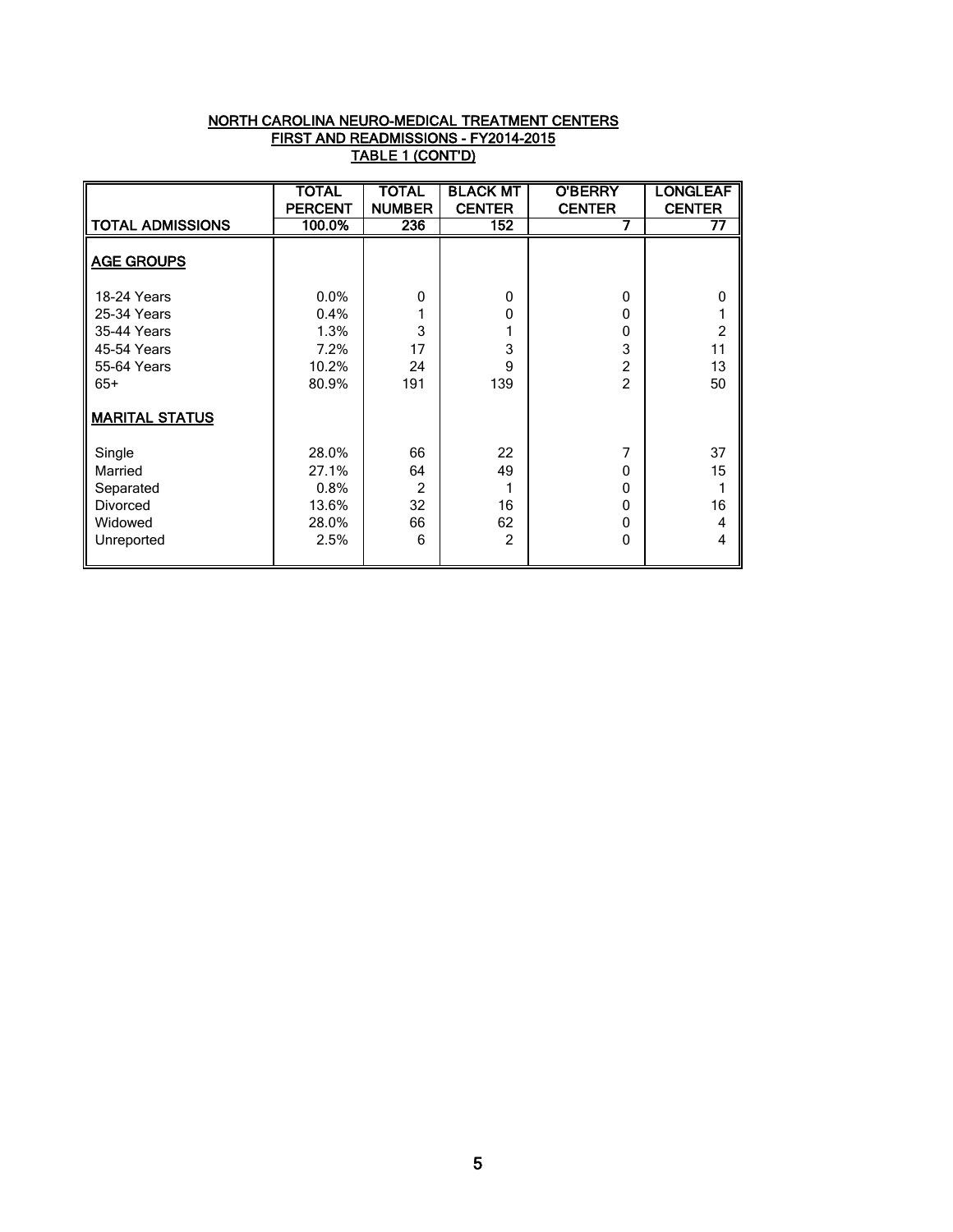| NORTH CAROLINA NEURO-MEDICAL TREATMENT CENTERS |
|------------------------------------------------|
| FIRST AND READMISSIONS - FY2014-2015           |
| TABLE 1 (CONT'D)                               |

|                                                                                                                  | <b>TOTAL</b><br><b>PERCENT</b>                   | <b>TOTAL</b><br><b>NUMBER</b>  | <b>BLACK MT</b><br><b>CENTER</b>        | <b>O'BERRY</b><br><b>CENTER</b>                      | <b>LONGLEAF</b><br><b>CENTER</b>      |
|------------------------------------------------------------------------------------------------------------------|--------------------------------------------------|--------------------------------|-----------------------------------------|------------------------------------------------------|---------------------------------------|
| <b>TOTAL ADMISSIONS</b>                                                                                          | 100.0%                                           | 236                            | 152                                     | 7                                                    | 77                                    |
| <b>AGE GROUPS</b>                                                                                                |                                                  |                                |                                         |                                                      |                                       |
| <b>18-24 Years</b><br>25-34 Years<br>35-44 Years<br>45-54 Years<br>55-64 Years<br>$65+$<br><b>MARITAL STATUS</b> | 0.0%<br>0.4%<br>1.3%<br>7.2%<br>10.2%<br>80.9%   | 0<br>3<br>17<br>24<br>191      | $\mathbf{0}$<br>0<br>1<br>3<br>9<br>139 | 0<br>0<br>0<br>3<br>$\overline{c}$<br>$\mathfrak{p}$ | 0<br>$\overline{2}$<br>11<br>13<br>50 |
| Single<br>Married<br>Separated<br><b>Divorced</b><br>Widowed<br>Unreported                                       | 28.0%<br>27.1%<br>0.8%<br>13.6%<br>28.0%<br>2.5% | 66<br>64<br>2<br>32<br>66<br>6 | 22<br>49<br>1<br>16<br>62<br>2          | 7<br>0<br>0<br>0<br>0<br>0                           | 37<br>15<br>1<br>16<br>4<br>4         |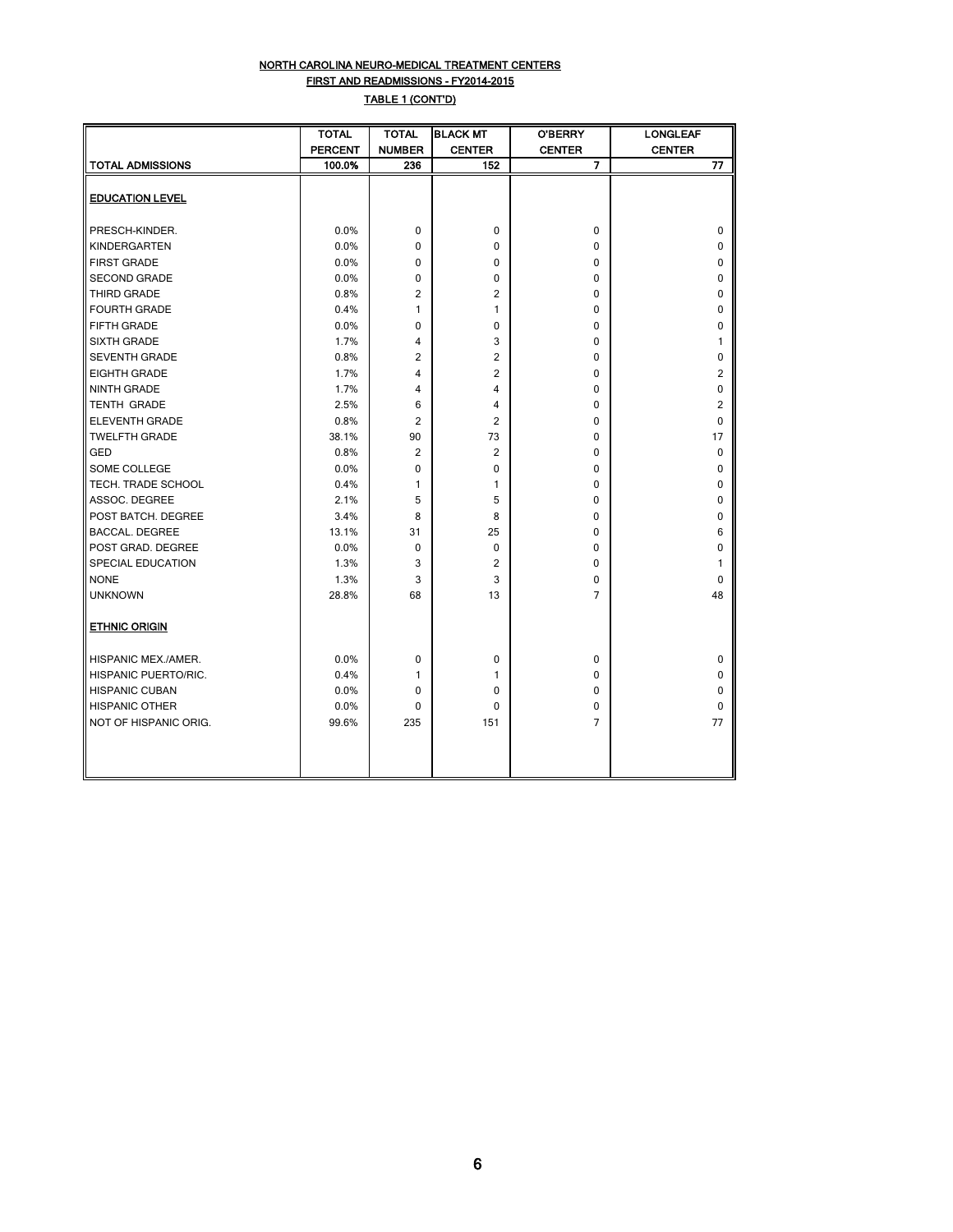#### NORTH CAROLINA NEURO-MEDICAL TREATMENT CENTERS FIRST AND READMISSIONS - FY2014-2015 TABLE 1 (CONT'D)

|                             | TOTAL          | <b>TOTAL</b>  | <b>BLACK MT</b> | <b>O'BERRY</b> | <b>LONGLEAF</b> |
|-----------------------------|----------------|---------------|-----------------|----------------|-----------------|
|                             | <b>PERCENT</b> | <b>NUMBER</b> | <b>CENTER</b>   | <b>CENTER</b>  | <b>CENTER</b>   |
| <b>TOTAL ADMISSIONS</b>     | 100.0%         | 236           | 152             | $\overline{7}$ | 77              |
|                             |                |               |                 |                |                 |
| <b>EDUCATION LEVEL</b>      |                |               |                 |                |                 |
|                             |                |               |                 |                |                 |
| PRESCH-KINDER.              | 0.0%           | 0             | 0               | 0              | 0               |
| <b>KINDERGARTEN</b>         | 0.0%           | 0             | $\Omega$        | 0              | 0               |
| <b>FIRST GRADE</b>          | 0.0%           | 0             | 0               | 0              | 0               |
| <b>SECOND GRADE</b>         | 0.0%           | 0             | $\Omega$        | 0              | 0               |
| <b>THIRD GRADE</b>          | 0.8%           | 2             | $\overline{2}$  | 0              | 0               |
| <b>FOURTH GRADE</b>         | 0.4%           | 1             | 1               | 0              | 0               |
| FIFTH GRADE                 | 0.0%           | 0             | 0               | 0              | 0               |
| <b>SIXTH GRADE</b>          | 1.7%           | 4             | 3               | 0              | 1               |
| <b>SEVENTH GRADE</b>        | 0.8%           | 2             | 2               | 0              | 0               |
| <b>EIGHTH GRADE</b>         | 1.7%           | 4             | $\overline{2}$  | 0              | 2               |
| <b>NINTH GRADE</b>          | 1.7%           | 4             | 4               | 0              | 0               |
| <b>TENTH GRADE</b>          | 2.5%           | 6             | 4               | 0              | 2               |
| <b>ELEVENTH GRADE</b>       | 0.8%           | 2             | $\overline{2}$  | 0              | 0               |
| <b>TWELFTH GRADE</b>        | 38.1%          | 90            | 73              | 0              | 17              |
| <b>GED</b>                  | 0.8%           | 2             | 2               | 0              | 0               |
| SOME COLLEGE                | 0.0%           | 0             | 0               | 0              | 0               |
| <b>TECH. TRADE SCHOOL</b>   | 0.4%           | 1             | 1               | 0              | 0               |
| ASSOC. DEGREE               | 2.1%           | 5             | 5               | 0              | 0               |
| POST BATCH. DEGREE          | 3.4%           | 8             | 8               | 0              | 0               |
| <b>BACCAL. DEGREE</b>       | 13.1%          | 31            | 25              | 0              | 6               |
| POST GRAD. DEGREE           | 0.0%           | 0             | 0               | 0              | 0               |
| SPECIAL EDUCATION           | 1.3%           | 3             | $\overline{2}$  | 0              | 1               |
| <b>NONE</b>                 | 1.3%           | 3             | 3               | 0              | 0               |
| <b>UNKNOWN</b>              | 28.8%          | 68            | 13              | 7              | 48              |
| <b>ETHNIC ORIGIN</b>        |                |               |                 |                |                 |
| <b>HISPANIC MEX./AMER.</b>  | 0.0%           | 0             | 0               | 0              | 0               |
| <b>HISPANIC PUERTO/RIC.</b> | 0.4%           | 1             | 1               | 0              | 0               |
| <b>HISPANIC CUBAN</b>       | 0.0%           | 0             | 0               | 0              | 0               |
| <b>HISPANIC OTHER</b>       | 0.0%           | 0             | 0               | 0              | 0               |
| NOT OF HISPANIC ORIG.       | 99.6%          | 235           | 151             | $\overline{7}$ | 77              |
|                             |                |               |                 |                |                 |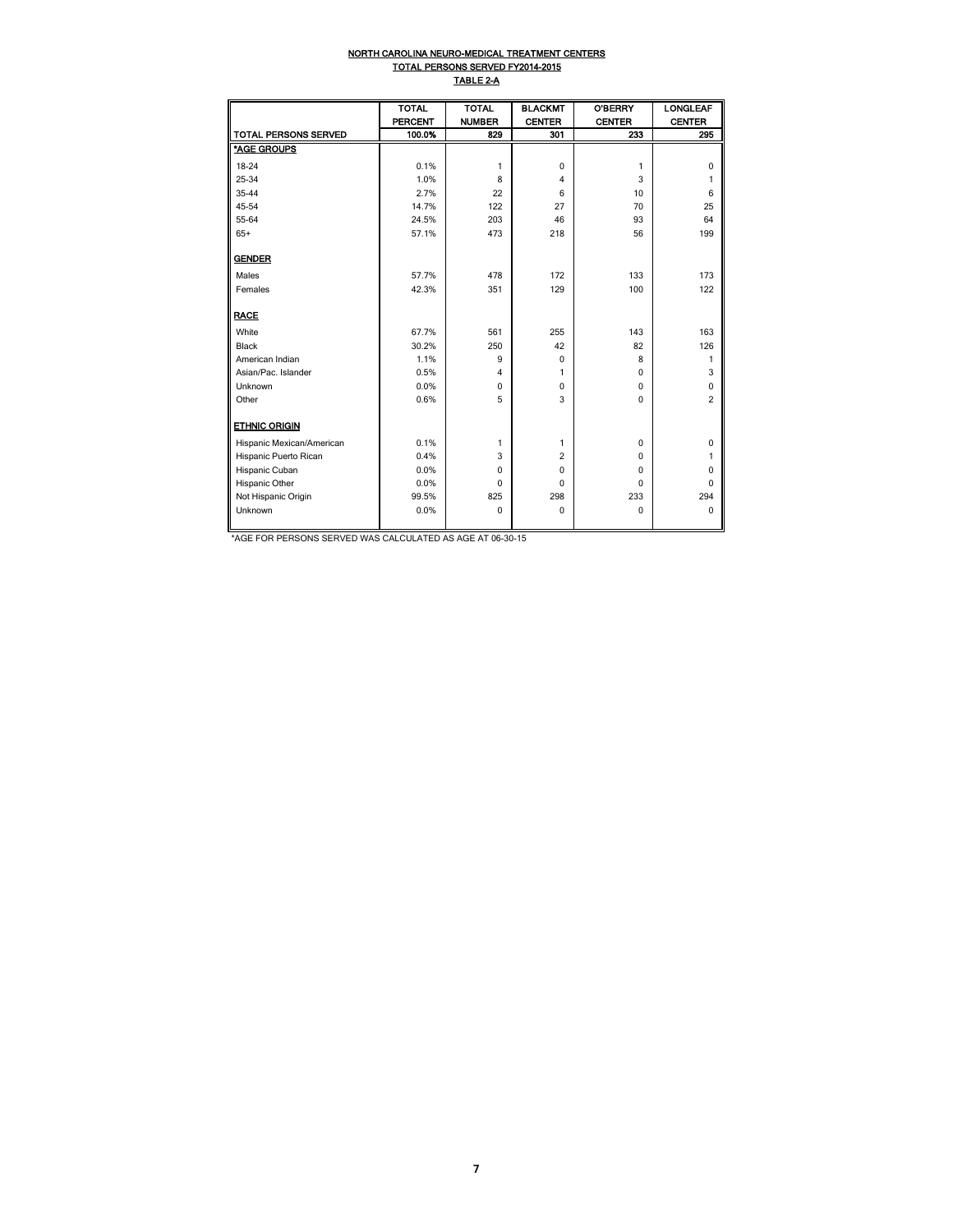#### NORTH CAROLINA NEURO-MEDICAL TREATMENT CENTERS TOTAL PERSONS SERVED FY2014-2015 TABLE 2-A

|                             | <b>TOTAL</b>   | <b>TOTAL</b>  | <b>BLACKMT</b> | <b>O'BERRY</b> | <b>LONGLEAF</b> |
|-----------------------------|----------------|---------------|----------------|----------------|-----------------|
|                             | <b>PERCENT</b> | <b>NUMBER</b> | <b>CENTER</b>  | <b>CENTER</b>  | <b>CENTER</b>   |
| <b>TOTAL PERSONS SERVED</b> | 100.0%         | 829           | 301            | 233            | 295             |
| *AGE GROUPS                 |                |               |                |                |                 |
| 18-24                       | 0.1%           | 1             | $\mathbf 0$    | 1              | $\Omega$        |
| 25-34                       | 1.0%           | 8             | $\overline{4}$ | 3              | 1               |
| 35-44                       | 2.7%           | 22            | 6              | 10             | 6               |
| 45-54                       | 14.7%          | 122           | 27             | 70             | 25              |
| 55-64                       | 24.5%          | 203           | 46             | 93             | 64              |
| $65+$                       | 57.1%          | 473           | 218            | 56             | 199             |
| <b>GENDER</b>               |                |               |                |                |                 |
| Males                       | 57.7%          | 478           | 172            | 133            | 173             |
| Females                     | 42.3%          | 351           | 129            | 100            | 122             |
| <b>RACE</b>                 |                |               |                |                |                 |
| White                       | 67.7%          | 561           | 255            | 143            | 163             |
| <b>Black</b>                | 30.2%          | 250           | 42             | 82             | 126             |
| American Indian             | 1.1%           | 9             | $\mathbf 0$    | 8              | 1               |
| Asian/Pac. Islander         | 0.5%           | 4             | 1              | 0              | 3               |
| Unknown                     | 0.0%           | $\mathbf 0$   | $\mathbf 0$    | 0              | 0               |
| Other                       | 0.6%           | 5             | 3              | $\Omega$       | $\overline{2}$  |
| <b>ETHNIC ORIGIN</b>        |                |               |                |                |                 |
| Hispanic Mexican/American   | 0.1%           | 1             | 1              | 0              | 0               |
| Hispanic Puerto Rican       | 0.4%           | 3             | $\overline{c}$ | 0              | 1               |
| Hispanic Cuban              | 0.0%           | $\mathbf 0$   | $\mathbf 0$    | 0              | 0               |
| Hispanic Other              | 0.0%           | 0             | $\mathbf 0$    | $\mathbf 0$    | $\Omega$        |
| Not Hispanic Origin         | 99.5%          | 825           | 298            | 233            | 294             |
| Unknown                     | 0.0%           | $\mathbf 0$   | $\mathbf 0$    | $\mathbf 0$    | $\Omega$        |
|                             |                |               |                |                |                 |

\*AGE FOR PERSONS SERVED WAS CALCULATED AS AGE AT 06-30-15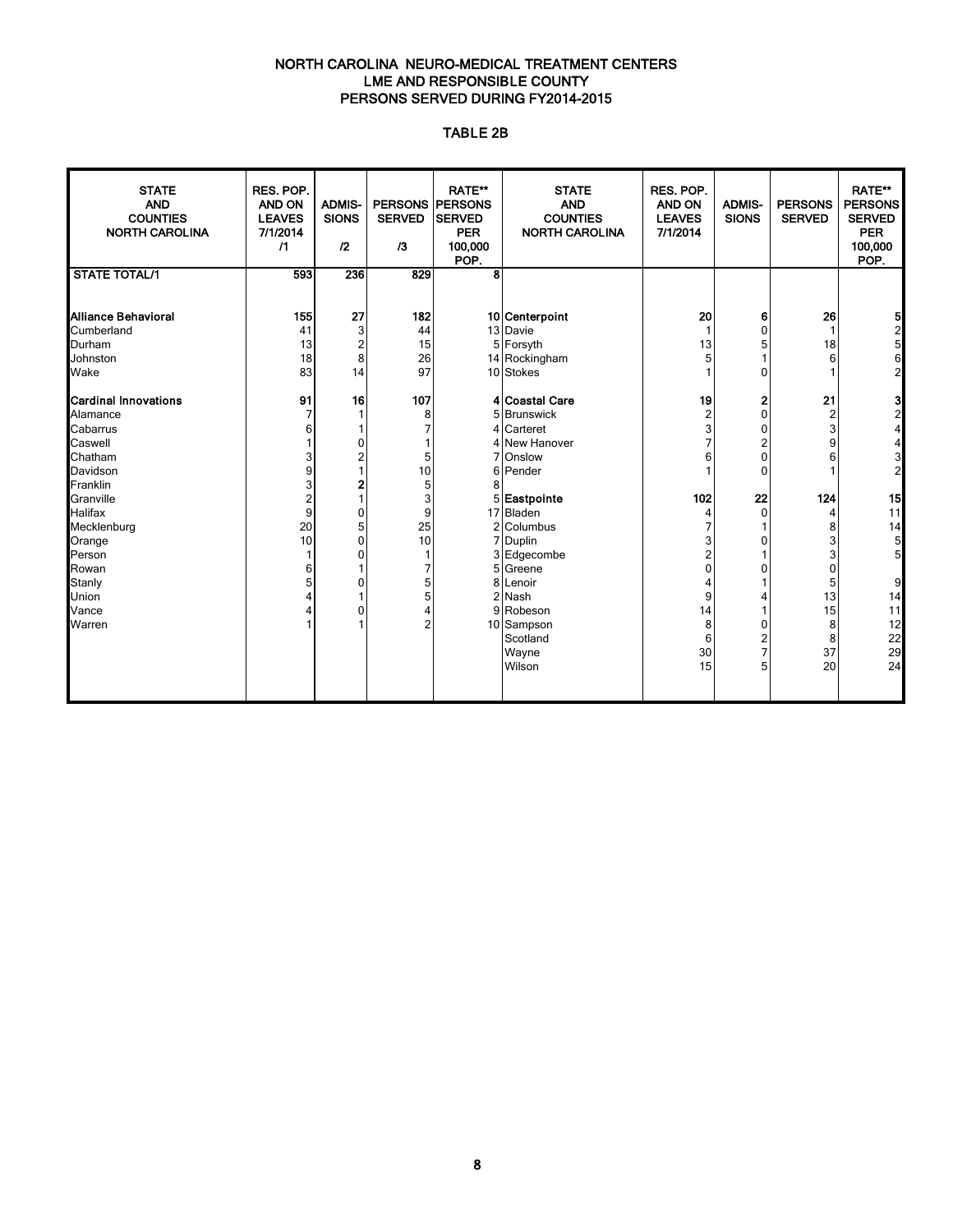#### NORTH CAROLINA NEURO-MEDICAL TREATMENT CENTERS LME AND RESPONSIBLE COUNTY PERSONS SERVED DURING FY2014-2015

#### TABLE 2B

| <b>STATE</b><br><b>AND</b><br><b>COUNTIES</b><br><b>NORTH CAROLINA</b> | RES. POP.<br><b>AND ON</b><br><b>LEAVES</b><br>7/1/2014<br>$\sqrt{1}$ | <b>ADMIS-</b><br><b>SIONS</b><br>12 | <b>PERSONS PERSONS</b><br><b>SERVED</b><br>/3 | <b>RATE**</b><br><b>SERVED</b><br><b>PER</b><br>100,000<br>POP. | <b>STATE</b><br><b>AND</b><br><b>COUNTIES</b><br><b>NORTH CAROLINA</b> | RES. POP.<br>AND ON<br><b>LEAVES</b><br>7/1/2014 | <b>ADMIS-</b><br><b>SIONS</b> | <b>PERSONS</b><br><b>SERVED</b> | <b>RATE**</b><br><b>PERSONS</b><br><b>SERVED</b><br><b>PER</b><br>100,000<br>POP. |
|------------------------------------------------------------------------|-----------------------------------------------------------------------|-------------------------------------|-----------------------------------------------|-----------------------------------------------------------------|------------------------------------------------------------------------|--------------------------------------------------|-------------------------------|---------------------------------|-----------------------------------------------------------------------------------|
| <b>STATE TOTAL/1</b>                                                   | 593                                                                   | 236                                 | 829                                           | 8                                                               |                                                                        |                                                  |                               |                                 |                                                                                   |
|                                                                        |                                                                       |                                     |                                               |                                                                 |                                                                        |                                                  |                               |                                 |                                                                                   |
| Alliance Behavioral                                                    | 155                                                                   | 27                                  | 182                                           |                                                                 | 10 Centerpoint                                                         | 20                                               | 6                             | 26                              | 5                                                                                 |
| Cumberland                                                             | 41                                                                    | 3                                   | 44                                            |                                                                 | 13 Davie                                                               | 1                                                | $\Omega$                      | 1                               | $\overline{a}$                                                                    |
| Durham                                                                 | 13                                                                    | $\overline{2}$                      | 15                                            |                                                                 | 5 Forsyth                                                              | 13                                               |                               | 18                              | 5                                                                                 |
| Johnston                                                               | 18                                                                    | 8                                   | 26                                            |                                                                 | 14 Rockingham                                                          | 5                                                |                               | 6                               | 6                                                                                 |
| Wake                                                                   | 83                                                                    | 14                                  | 97                                            |                                                                 | 10 Stokes                                                              |                                                  | 0                             |                                 | $\overline{a}$                                                                    |
|                                                                        |                                                                       |                                     |                                               |                                                                 |                                                                        |                                                  |                               |                                 |                                                                                   |
| <b>Cardinal Innovations</b><br>Alamance                                | 91<br>$\overline{7}$                                                  | 16                                  | 107                                           |                                                                 | 4 Coastal Care                                                         | 19<br>$\overline{2}$                             | 2<br>$\mathbf{0}$             | 21                              | 3<br>$\overline{2}$                                                               |
| Cabarrus                                                               | 6                                                                     |                                     | 8                                             |                                                                 | 5 Brunswick<br>Carteret                                                | 3                                                | $\mathbf{0}$                  | $\overline{2}$<br>3             | 4                                                                                 |
| Caswell                                                                |                                                                       | $\Omega$                            |                                               |                                                                 | New Hanover                                                            |                                                  | 2                             | 9                               | 4                                                                                 |
| Chatham                                                                | 3                                                                     | $\mathfrak{p}$                      | 5                                             |                                                                 | Onslow                                                                 |                                                  | 0                             |                                 | 3                                                                                 |
| Davidson                                                               | 9                                                                     |                                     | 10                                            | 61                                                              | Pender                                                                 |                                                  | $\Omega$                      |                                 | $\overline{2}$                                                                    |
| Franklin                                                               | 3                                                                     |                                     | 5                                             |                                                                 |                                                                        |                                                  |                               |                                 |                                                                                   |
| Granville                                                              | $\overline{c}$                                                        |                                     | 3                                             |                                                                 | 5 Eastpointe                                                           | 102                                              | 22                            | 124                             | 15                                                                                |
| <b>Halifax</b>                                                         | 9                                                                     | $\mathbf{0}$                        | 9                                             |                                                                 | 17 Bladen                                                              | 4                                                | $\Omega$                      | 4                               | 11                                                                                |
| Mecklenburg                                                            | 20                                                                    | 5                                   | 25                                            |                                                                 | 2 Columbus                                                             |                                                  |                               | 8                               | 14                                                                                |
| Orange                                                                 | 10                                                                    | $\mathbf{0}$                        | 10                                            |                                                                 | 7 Duplin                                                               |                                                  |                               | 3                               | 5                                                                                 |
| Person                                                                 |                                                                       | $\Omega$                            |                                               |                                                                 | 3 Edgecombe                                                            |                                                  |                               | 3                               | 5                                                                                 |
| Rowan                                                                  | 6                                                                     |                                     | 7                                             |                                                                 | 5 Greene                                                               | 0                                                |                               | 0                               |                                                                                   |
| Stanly                                                                 | 5                                                                     | 0                                   | 5                                             |                                                                 | 8 Lenoir                                                               |                                                  |                               | 5                               | 9                                                                                 |
| Union                                                                  |                                                                       |                                     | 5                                             |                                                                 | 2 Nash                                                                 | 9                                                |                               | 13                              | 14                                                                                |
| Vance                                                                  |                                                                       | 0                                   | 4                                             |                                                                 | 9 Robeson                                                              | 14                                               |                               | 15                              | 11                                                                                |
| Warren                                                                 |                                                                       |                                     | $\overline{2}$                                |                                                                 | 10 Sampson                                                             | 8                                                | ŋ                             | 8                               | 12                                                                                |
|                                                                        |                                                                       |                                     |                                               |                                                                 | Scotland                                                               | 6                                                | 2                             | 8                               | 22                                                                                |
|                                                                        |                                                                       |                                     |                                               |                                                                 | Wayne                                                                  | 30                                               |                               | 37                              | 29                                                                                |
|                                                                        |                                                                       |                                     |                                               |                                                                 | Wilson                                                                 | 15                                               | 5                             | 20                              | 24                                                                                |
|                                                                        |                                                                       |                                     |                                               |                                                                 |                                                                        |                                                  |                               |                                 |                                                                                   |
|                                                                        |                                                                       |                                     |                                               |                                                                 |                                                                        |                                                  |                               |                                 |                                                                                   |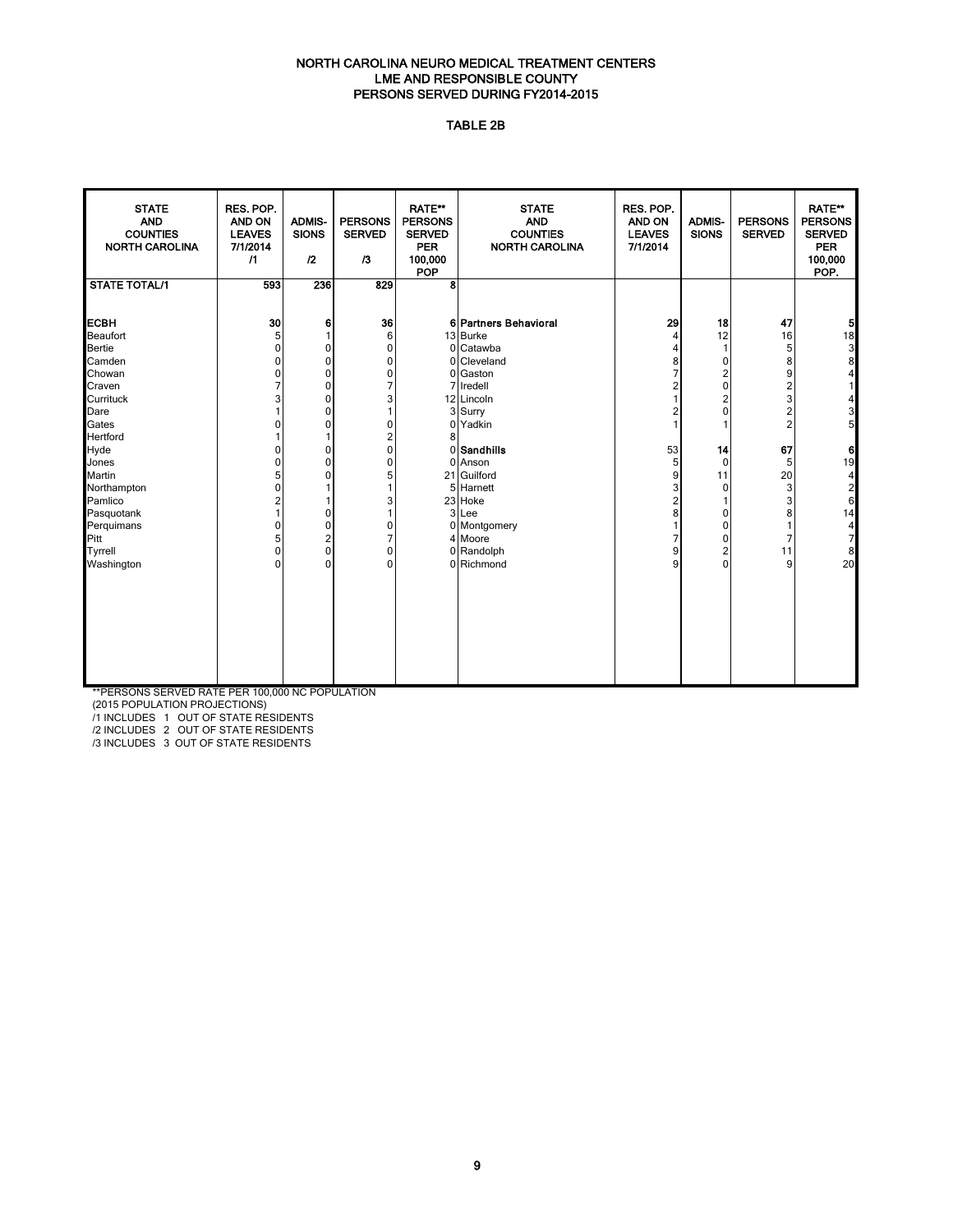#### NORTH CAROLINA NEURO MEDICAL TREATMENT CENTERS LME AND RESPONSIBLE COUNTY PERSONS SERVED DURING FY2014-2015

#### TABLE 2B

| <b>STATE</b><br><b>AND</b><br><b>COUNTIES</b><br><b>NORTH CAROLINA</b> | RES. POP.<br>AND ON<br><b>LEAVES</b><br>7/1/2014<br>$\sqrt{1}$ | <b>ADMIS-</b><br><b>SIONS</b><br>$\mathfrak{p}$ | <b>PERSONS</b><br><b>SERVED</b><br>13 | RATE**<br><b>PERSONS</b><br><b>SERVED</b><br><b>PER</b><br>100,000<br>POP | <b>STATE</b><br><b>AND</b><br><b>COUNTIES</b><br><b>NORTH CAROLINA</b> | RES. POP.<br>AND ON<br><b>LEAVES</b><br>7/1/2014 | <b>ADMIS-</b><br><b>SIONS</b> | <b>PERSONS</b><br><b>SERVED</b> | RATE**<br><b>PERSONS</b><br><b>SERVED</b><br><b>PER</b><br>100,000<br>POP. |
|------------------------------------------------------------------------|----------------------------------------------------------------|-------------------------------------------------|---------------------------------------|---------------------------------------------------------------------------|------------------------------------------------------------------------|--------------------------------------------------|-------------------------------|---------------------------------|----------------------------------------------------------------------------|
| <b>STATE TOTAL/1</b>                                                   | 593                                                            | 236                                             | 829                                   | 8                                                                         |                                                                        |                                                  |                               |                                 |                                                                            |
| <b>ECBH</b>                                                            | 30                                                             | 6                                               | 36                                    |                                                                           | 6 Partners Behavioral                                                  | 29                                               | 18                            | 47                              |                                                                            |
| Beaufort                                                               | 5                                                              | 1                                               | 6                                     |                                                                           | 13 Burke                                                               | 4                                                | 12                            | 16                              | $\frac{1}{8}$ $\frac{1}{8}$ $\frac{1}{8}$                                  |
| <b>Bertie</b>                                                          | $\mathbf 0$                                                    | 0                                               | $\mathbf 0$                           | $\Omega$                                                                  | Catawba                                                                | 4                                                |                               | 5                               |                                                                            |
| Camden                                                                 | $\mathbf 0$                                                    | 0                                               | 0                                     | $\Omega$                                                                  | Cleveland                                                              | 8                                                | 0                             | 8                               |                                                                            |
| Chowan                                                                 | $\mathbf 0$                                                    | 0                                               | 0                                     | 0                                                                         | Gaston                                                                 | $\overline{7}$                                   | $\overline{2}$                | 9                               | 4                                                                          |
| Craven                                                                 | $\overline{7}$                                                 | 0                                               | 7                                     | 7                                                                         | Iredell                                                                | 2                                                | 0                             | $\overline{c}$                  | 1                                                                          |
| Currituck                                                              | 3                                                              | 0                                               | 3                                     |                                                                           | 12 Lincoln                                                             | 1                                                | $\overline{\mathbf{c}}$       | 3                               | 4                                                                          |
| Dare                                                                   |                                                                | 0                                               | 1                                     | 3 <sup>1</sup>                                                            | Surry                                                                  | 2                                                | 0                             | $\frac{2}{2}$                   | 3<br>5                                                                     |
| Gates                                                                  | 0                                                              | 0                                               | 0                                     | 0                                                                         | Yadkin                                                                 | 1                                                |                               |                                 |                                                                            |
| Hertford                                                               |                                                                |                                                 | 2<br>0                                | 8                                                                         |                                                                        |                                                  |                               |                                 |                                                                            |
| Hyde                                                                   | $\mathbf{0}$                                                   | 0                                               |                                       | 0                                                                         | <b>Sandhills</b>                                                       | 53                                               | 14                            | 67                              | 6                                                                          |
| Jones                                                                  | $\mathbf 0$                                                    | 0                                               | 0                                     | 0                                                                         | Anson                                                                  | 5                                                | 0                             | 5                               | 19                                                                         |
| Martin                                                                 | 5                                                              | $\mathbf{0}$                                    | 5                                     | 21                                                                        | Guilford                                                               | 9                                                | 11                            | 20                              |                                                                            |
| Northampton                                                            | $\mathbf{0}$                                                   |                                                 | 1                                     | 5                                                                         | Harnett                                                                | 3                                                | $\Omega$                      | 3                               | $\begin{array}{c} 4 \\ 2 \\ 6 \end{array}$                                 |
| Pamlico                                                                | $\overline{2}$<br>$\overline{1}$                               | 1                                               | 3                                     |                                                                           | 23 Hoke                                                                | $\overline{2}$                                   |                               | 3                               |                                                                            |
| Pasquotank                                                             |                                                                | 0                                               | 1                                     |                                                                           | 3 Lee                                                                  | 8                                                | 0                             | 8                               | 14                                                                         |
| Perquimans<br>Pitt                                                     | $\mathbf 0$<br>5                                               | 0                                               | 0<br>7                                |                                                                           | 0 Montgomery<br>4 Moore                                                | 1<br>7                                           | 0<br>0                        | $\mathbf{1}$<br>7               | $\frac{4}{7}$                                                              |
| Tyrrell                                                                | $\mathbf 0$                                                    | 2<br>$\mathbf 0$                                | 0                                     |                                                                           | 0 Randolph                                                             | 9                                                | $\overline{c}$                | 11                              | $\bf 8$                                                                    |
| Washington                                                             | $\mathbf{0}$                                                   | $\Omega$                                        | $\Omega$                              |                                                                           | 0 Richmond                                                             | 9                                                | $\mathbf{0}$                  | 9                               | 20                                                                         |
|                                                                        |                                                                |                                                 |                                       |                                                                           |                                                                        |                                                  |                               |                                 |                                                                            |
|                                                                        |                                                                |                                                 |                                       |                                                                           |                                                                        |                                                  |                               |                                 |                                                                            |
|                                                                        |                                                                |                                                 |                                       |                                                                           |                                                                        |                                                  |                               |                                 |                                                                            |
|                                                                        |                                                                |                                                 |                                       |                                                                           |                                                                        |                                                  |                               |                                 |                                                                            |
|                                                                        |                                                                |                                                 |                                       |                                                                           |                                                                        |                                                  |                               |                                 |                                                                            |

\*\*PERSONS SERVED RATE PER 100,000 NC POPULATION

(2015 POPULATION PROJECTIONS)

/1 INCLUDES 1 OUT OF STATE RESIDENTS

/2 INCLUDES 2 OUT OF STATE RESIDENTS

/3 INCLUDES 3 OUT OF STATE RESIDENTS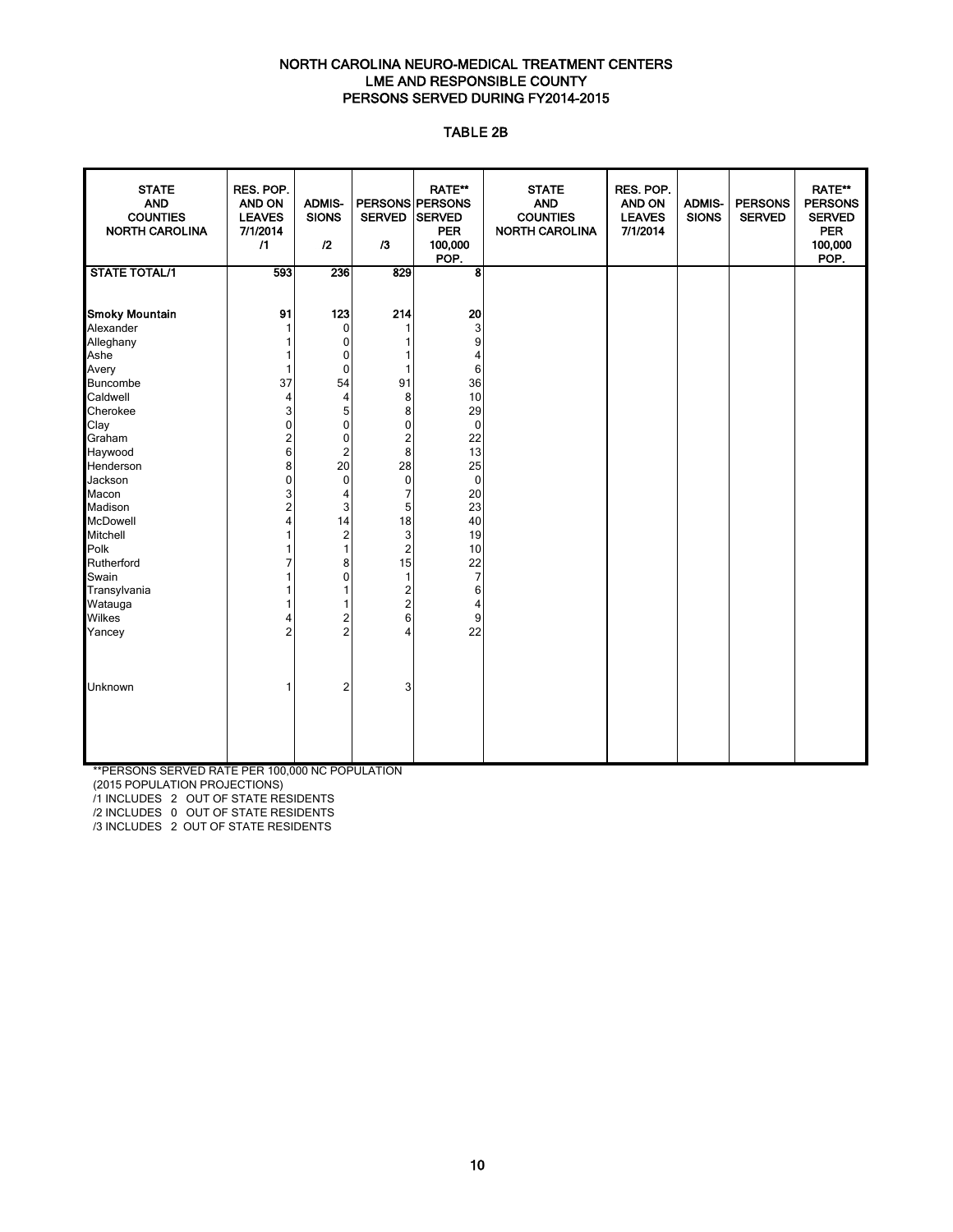#### NORTH CAROLINA NEURO-MEDICAL TREATMENT CENTERS LME AND RESPONSIBLE COUNTY PERSONS SERVED DURING FY2014-2015

#### TABLE 2B

| <b>STATE</b><br><b>AND</b><br><b>COUNTIES</b><br><b>NORTH CAROLINA</b> | RES. POP.<br><b>AND ON</b><br><b>LEAVES</b><br>7/1/2014<br>$\sqrt{1}$ | <b>ADMIS-</b><br><b>SIONS</b><br>12 | <b>SERVED</b><br>13     | <b>RATE**</b><br>PERSONS PERSONS<br><b>SERVED</b><br><b>PER</b><br>100,000<br>POP. | <b>STATE</b><br><b>AND</b><br><b>COUNTIES</b><br><b>NORTH CAROLINA</b> | RES. POP.<br><b>AND ON</b><br><b>LEAVES</b><br>7/1/2014 | <b>ADMIS-</b><br><b>SIONS</b> | <b>PERSONS</b><br><b>SERVED</b> | <b>RATE**</b><br><b>PERSONS</b><br><b>SERVED</b><br><b>PER</b><br>100,000<br>POP. |
|------------------------------------------------------------------------|-----------------------------------------------------------------------|-------------------------------------|-------------------------|------------------------------------------------------------------------------------|------------------------------------------------------------------------|---------------------------------------------------------|-------------------------------|---------------------------------|-----------------------------------------------------------------------------------|
| <b>STATE TOTAL/1</b>                                                   | 593                                                                   | 236                                 | 829                     | 8                                                                                  |                                                                        |                                                         |                               |                                 |                                                                                   |
|                                                                        |                                                                       |                                     |                         |                                                                                    |                                                                        |                                                         |                               |                                 |                                                                                   |
| <b>Smoky Mountain</b>                                                  | 91                                                                    | 123                                 | 214                     | 20                                                                                 |                                                                        |                                                         |                               |                                 |                                                                                   |
| Alexander                                                              | 1                                                                     | $\mathbf 0$                         |                         | 3                                                                                  |                                                                        |                                                         |                               |                                 |                                                                                   |
| Alleghany                                                              |                                                                       | $\pmb{0}$                           | 1                       | 9                                                                                  |                                                                        |                                                         |                               |                                 |                                                                                   |
| Ashe                                                                   | 1                                                                     | $\pmb{0}$                           | 1                       | 4                                                                                  |                                                                        |                                                         |                               |                                 |                                                                                   |
| Avery                                                                  | $\mathbf{1}$                                                          | $\mathbf 0$                         | 1                       | 6                                                                                  |                                                                        |                                                         |                               |                                 |                                                                                   |
| <b>Buncombe</b>                                                        | 37                                                                    | 54                                  | 91                      | 36                                                                                 |                                                                        |                                                         |                               |                                 |                                                                                   |
| Caldwell                                                               | $\overline{4}$                                                        | $\overline{\mathbf{4}}$             | 8                       | 10                                                                                 |                                                                        |                                                         |                               |                                 |                                                                                   |
| Cherokee                                                               | 3                                                                     | 5                                   | 8                       | 29                                                                                 |                                                                        |                                                         |                               |                                 |                                                                                   |
| Clay                                                                   | $\mathbf 0$                                                           | $\pmb{0}$                           | 0                       | $\mathbf 0$                                                                        |                                                                        |                                                         |                               |                                 |                                                                                   |
| Graham                                                                 | $\overline{\mathbf{c}}$                                               | $\pmb{0}$                           | 2                       | 22                                                                                 |                                                                        |                                                         |                               |                                 |                                                                                   |
| Haywood                                                                | 6                                                                     | $\sqrt{2}$                          | 8                       | 13                                                                                 |                                                                        |                                                         |                               |                                 |                                                                                   |
| Henderson                                                              | 8                                                                     | 20                                  | 28                      | 25                                                                                 |                                                                        |                                                         |                               |                                 |                                                                                   |
| Jackson                                                                | $\mathbf 0$                                                           | $\mathbf 0$                         | $\mathbf 0$             | $\mathbf 0$                                                                        |                                                                        |                                                         |                               |                                 |                                                                                   |
| Macon                                                                  | 3                                                                     | 4                                   | 7                       | 20                                                                                 |                                                                        |                                                         |                               |                                 |                                                                                   |
| Madison                                                                | 2                                                                     | $\ensuremath{\mathsf{3}}$           | 5                       | 23                                                                                 |                                                                        |                                                         |                               |                                 |                                                                                   |
| <b>McDowell</b>                                                        | 4                                                                     | 14                                  | 18                      | 40                                                                                 |                                                                        |                                                         |                               |                                 |                                                                                   |
| Mitchell                                                               |                                                                       | $\overline{\mathbf{c}}$             | 3                       | 19                                                                                 |                                                                        |                                                         |                               |                                 |                                                                                   |
| Polk                                                                   |                                                                       | $\mathbf{1}$                        | $\overline{2}$          | 10                                                                                 |                                                                        |                                                         |                               |                                 |                                                                                   |
| Rutherford                                                             | 7                                                                     | 8                                   | 15                      | 22                                                                                 |                                                                        |                                                         |                               |                                 |                                                                                   |
| Swain                                                                  |                                                                       | $\mathbf 0$                         | 1                       | $\overline{7}$                                                                     |                                                                        |                                                         |                               |                                 |                                                                                   |
| Transylvania                                                           |                                                                       | $\mathbf{1}$                        | $\overline{\mathbf{c}}$ | 6                                                                                  |                                                                        |                                                         |                               |                                 |                                                                                   |
| Watauga                                                                |                                                                       | 1                                   | $\overline{2}$          | 4                                                                                  |                                                                        |                                                         |                               |                                 |                                                                                   |
| Wilkes                                                                 | 4                                                                     |                                     | 6                       | 9                                                                                  |                                                                        |                                                         |                               |                                 |                                                                                   |
| Yancey                                                                 | $\overline{2}$                                                        | $\frac{2}{2}$                       | 4                       | 22                                                                                 |                                                                        |                                                         |                               |                                 |                                                                                   |
|                                                                        |                                                                       |                                     |                         |                                                                                    |                                                                        |                                                         |                               |                                 |                                                                                   |
|                                                                        |                                                                       |                                     |                         |                                                                                    |                                                                        |                                                         |                               |                                 |                                                                                   |
| Unknown                                                                |                                                                       | $\overline{2}$                      | 3                       |                                                                                    |                                                                        |                                                         |                               |                                 |                                                                                   |
|                                                                        |                                                                       |                                     |                         |                                                                                    |                                                                        |                                                         |                               |                                 |                                                                                   |
|                                                                        |                                                                       |                                     |                         |                                                                                    |                                                                        |                                                         |                               |                                 |                                                                                   |
|                                                                        |                                                                       |                                     |                         |                                                                                    |                                                                        |                                                         |                               |                                 |                                                                                   |
|                                                                        |                                                                       |                                     |                         |                                                                                    |                                                                        |                                                         |                               |                                 |                                                                                   |
|                                                                        |                                                                       |                                     |                         |                                                                                    |                                                                        |                                                         |                               |                                 |                                                                                   |

\*\*PERSONS SERVED RATE PER 100,000 NC POPULATION

(2015 POPULATION PROJECTIONS)

/1 INCLUDES 2 OUT OF STATE RESIDENTS

/2 INCLUDES 0 OUT OF STATE RESIDENTS

/3 INCLUDES 2 OUT OF STATE RESIDENTS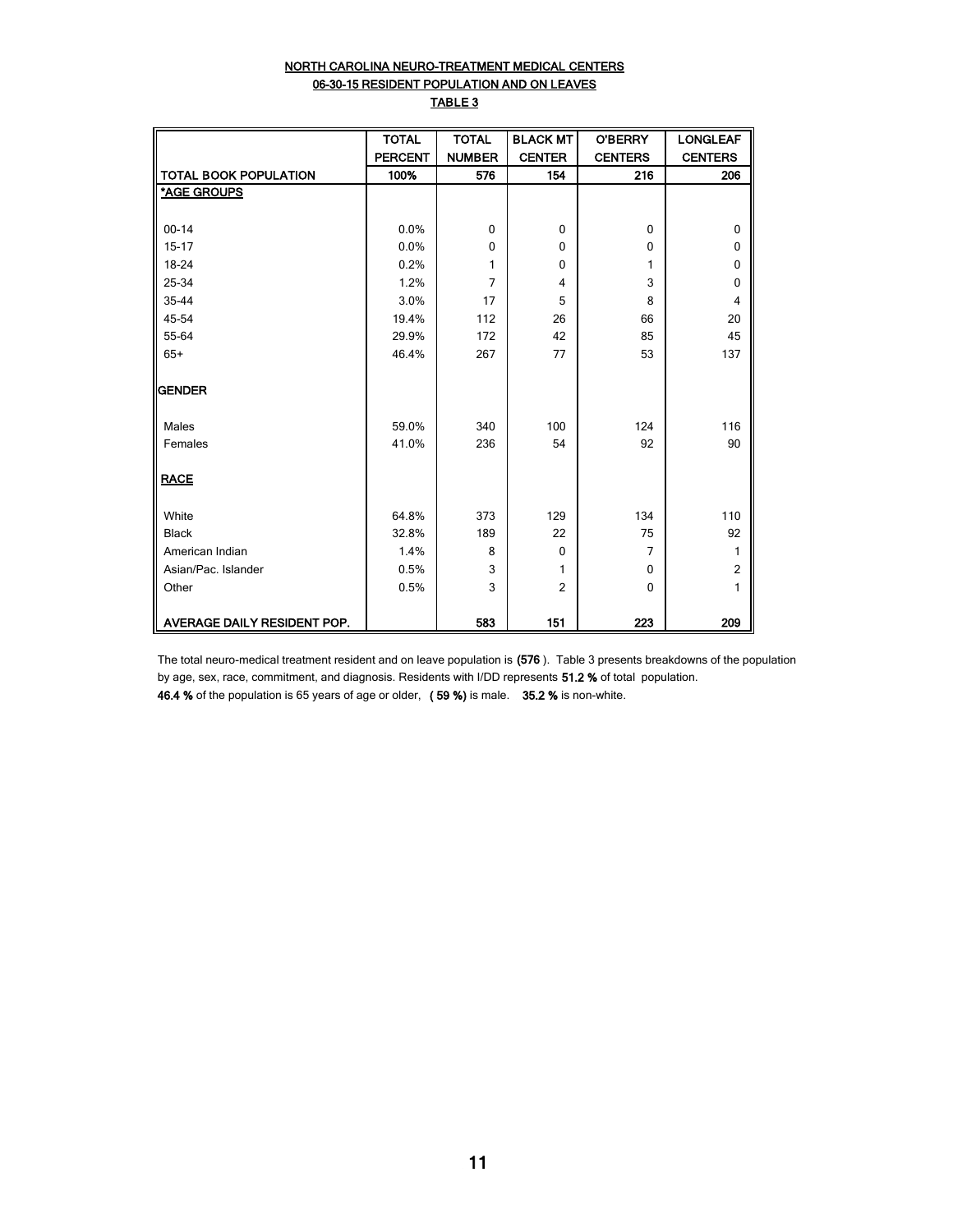#### NORTH CAROLINA NEURO-TREATMENT MEDICAL CENTERS 06-30-15 RESIDENT POPULATION AND ON LEAVES TABLE 3

|                              | <b>TOTAL</b>   | <b>TOTAL</b>  | <b>BLACK MT</b> | <b>O'BERRY</b> | <b>LONGLEAF</b> |
|------------------------------|----------------|---------------|-----------------|----------------|-----------------|
|                              | <b>PERCENT</b> | <b>NUMBER</b> | <b>CENTER</b>   | <b>CENTERS</b> | <b>CENTERS</b>  |
| <b>TOTAL BOOK POPULATION</b> | 100%           | 576           | 154             | 216            | 206             |
| *AGE GROUPS                  |                |               |                 |                |                 |
|                              |                |               |                 |                |                 |
| $00 - 14$                    | 0.0%           | 0             | $\mathbf{0}$    | $\Omega$       | $\mathbf 0$     |
| $15 - 17$                    | 0.0%           | 0             | $\Omega$        | $\mathbf 0$    | 0               |
| 18-24                        | 0.2%           | 1             | $\Omega$        | 1              | 0               |
| 25-34                        | 1.2%           | 7             | 4               | 3              | $\mathbf 0$     |
| 35-44                        | 3.0%           | 17            | 5               | 8              | $\overline{4}$  |
| 45-54                        | 19.4%          | 112           | 26              | 66             | 20              |
| 55-64                        | 29.9%          | 172           | 42              | 85             | 45              |
| $65+$                        | 46.4%          | 267           | 77              | 53             | 137             |
|                              |                |               |                 |                |                 |
| <b>GENDER</b>                |                |               |                 |                |                 |
|                              |                |               |                 |                |                 |
| Males                        | 59.0%          | 340           | 100             | 124            | 116             |
| Females                      | 41.0%          | 236           | 54              | 92             | 90              |
|                              |                |               |                 |                |                 |
| <b>RACE</b>                  |                |               |                 |                |                 |
|                              |                |               |                 |                |                 |
| White                        | 64.8%          | 373           | 129             | 134            | 110             |
| <b>Black</b>                 | 32.8%          | 189           | 22              | 75             | 92              |
| American Indian              | 1.4%           | 8             | $\Omega$        | $\overline{7}$ | 1               |
| Asian/Pac. Islander          | 0.5%           | 3             | 1               | $\Omega$       | $\overline{2}$  |
| Other                        | 0.5%           | 3             | $\overline{2}$  | $\Omega$       | 1               |
|                              |                |               |                 |                |                 |
| AVERAGE DAILY RESIDENT POP.  |                | 583           | 151             | 223            | 209             |

The total neuro-medical treatment resident and on leave population is (576 ). Table 3 presents breakdowns of the population by age, sex, race, commitment, and diagnosis. Residents with I/DD represents 51.2 % of total population. 46.4 % of the population is 65 years of age or older, ( 59 %) is male. 35.2 % is non-white.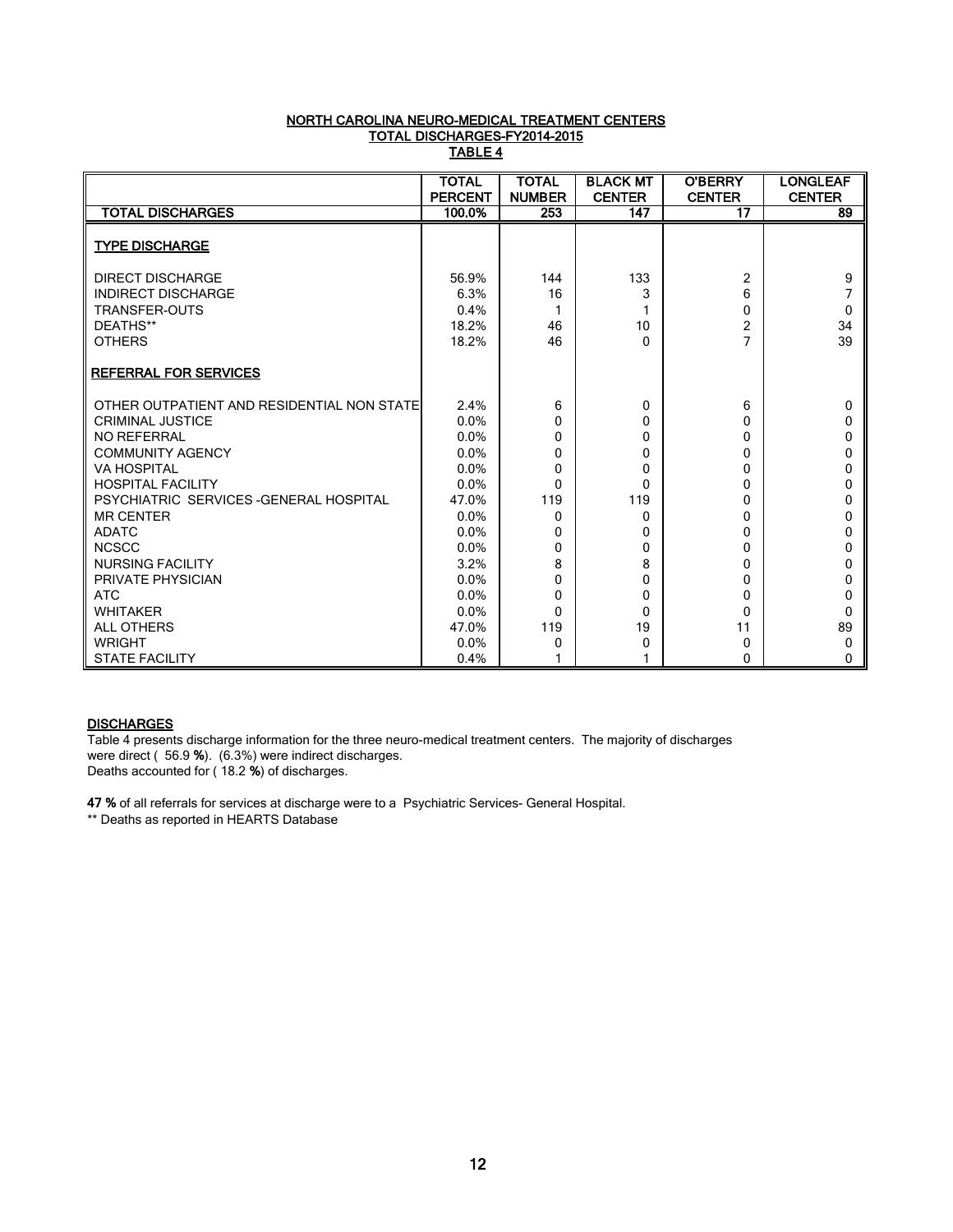#### NORTH CAROLINA NEURO-MEDICAL TREATMENT CENTERS TOTAL DISCHARGES-FY2014-2015 <u>TABLE 4</u>

|                                                      | <b>TOTAL</b>   | <b>TOTAL</b>  | <b>BLACK MT</b> | <b>O'BERRY</b>      | <b>LONGLEAF</b> |
|------------------------------------------------------|----------------|---------------|-----------------|---------------------|-----------------|
|                                                      | <b>PERCENT</b> | <b>NUMBER</b> | <b>CENTER</b>   | <b>CENTER</b>       | <b>CENTER</b>   |
| <b>TOTAL DISCHARGES</b>                              | 100.0%         | 253           | 147             | 17                  | 89              |
| <b>TYPE DISCHARGE</b>                                |                |               |                 |                     |                 |
| <b>DIRECT DISCHARGE</b><br><b>INDIRECT DISCHARGE</b> | 56.9%<br>6.3%  | 144<br>16     | 133<br>3        | $\overline{2}$<br>6 | 9               |
| <b>TRANSFER-OUTS</b>                                 | 0.4%           |               | 1               | $\Omega$            | 0               |
| DEATHS**                                             | 18.2%          | 46            | 10              | $\overline{2}$      | 34              |
| <b>OTHERS</b>                                        | 18.2%          | 46            | $\Omega$        |                     | 39              |
| <b>REFERRAL FOR SERVICES</b>                         |                |               |                 |                     |                 |
| OTHER OUTPATIENT AND RESIDENTIAL NON STATE           | 2.4%           | 6             | 0               | 6                   | $\Omega$        |
| <b>CRIMINAL JUSTICE</b>                              | $0.0\%$        | 0             | 0               | $\Omega$            | 0               |
| <b>NO REFERRAL</b>                                   | 0.0%           | 0             | 0               | $\Omega$            | 0               |
| <b>COMMUNITY AGENCY</b>                              | $0.0\%$        | 0             | 0               | $\Omega$            | n               |
| <b>VA HOSPITAL</b>                                   | 0.0%           | 0             | 0               | 0                   | o               |
| <b>HOSPITAL FACILITY</b>                             | 0.0%           | $\Omega$      | 0               | $\Omega$            | 0               |
| PSYCHIATRIC SERVICES - GENERAL HOSPITAL              | 47.0%          | 119           | 119             | $\Omega$            | n               |
| <b>MR CENTER</b>                                     | $0.0\%$        | $\Omega$      | 0               | $\Omega$            | 0               |
| <b>ADATC</b>                                         | 0.0%           | 0             | 0               | 0                   | 0               |
| <b>NCSCC</b>                                         | $0.0\%$        | 0             | 0               | $\Omega$            | ŋ               |
| <b>NURSING FACILITY</b>                              | 3.2%           | 8             | 8               | $\Omega$            | 0               |
| PRIVATE PHYSICIAN                                    | 0.0%           | $\Omega$      | 0               | $\Omega$            | n               |
| <b>ATC</b>                                           | 0.0%           | 0             | 0               | $\Omega$            | 0               |
| <b>WHITAKER</b>                                      | 0.0%           | $\Omega$      | 0               | $\Omega$            | 0               |
| <b>ALL OTHERS</b>                                    | 47.0%          | 119           | 19              | 11                  | 89              |
| <b>WRIGHT</b>                                        | $0.0\%$        | 0             | 0               | 0                   | 0               |
| <b>STATE FACILITY</b>                                | 0.4%           |               |                 | 0                   | 0               |

#### **DISCHARGES**

Table 4 presents discharge information for the three neuro-medical treatment centers. The majority of discharges were direct ( 56.9 %). (6.3%) were indirect discharges. Deaths accounted for ( 18.2 %) of discharges.

47 % of all referrals for services at discharge were to a Psychiatric Services- General Hospital. \*\* Deaths as reported in HEARTS Database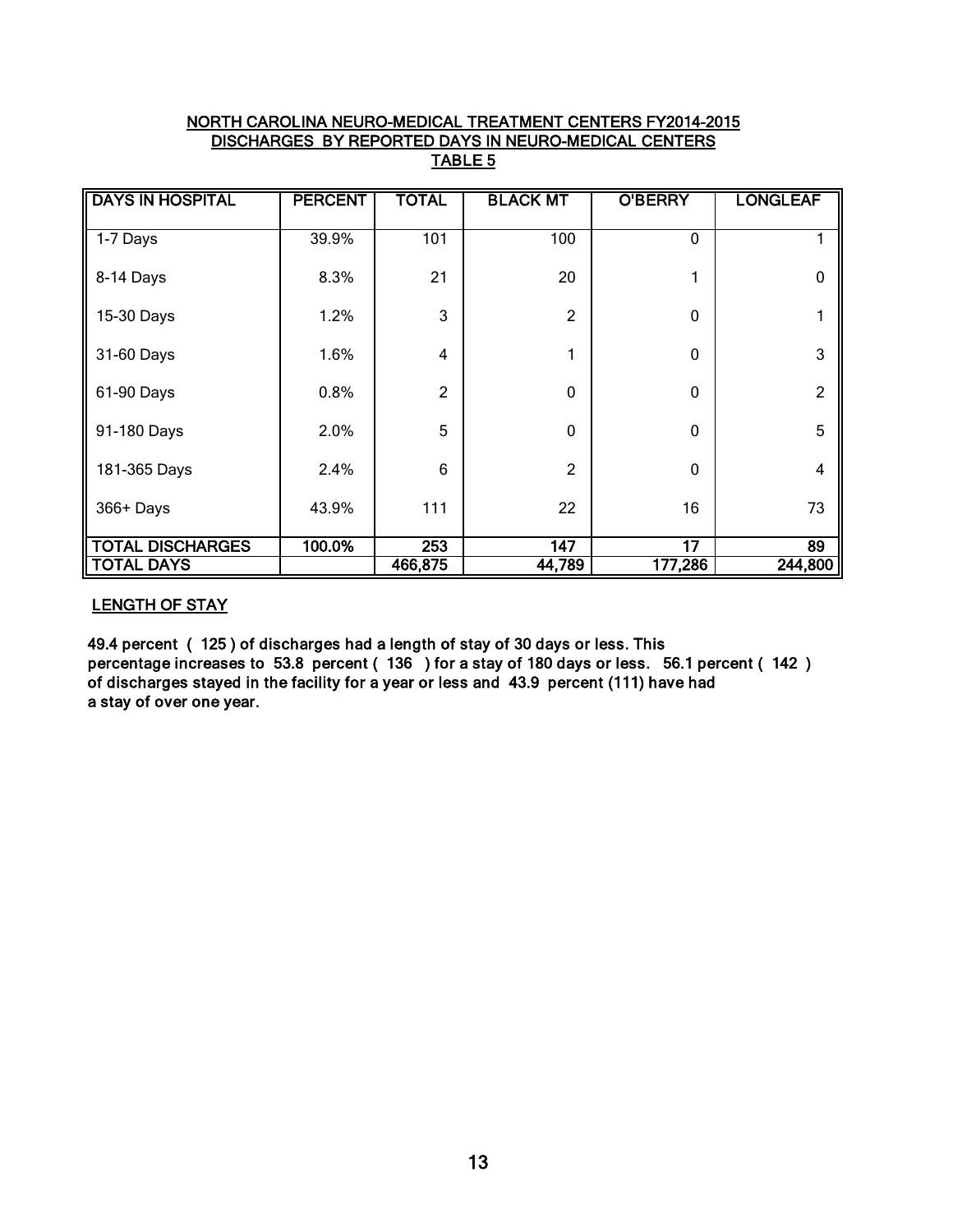### NORTH CAROLINA NEURO-MEDICAL TREATMENT CENTERS FY2014-2015 DISCHARGES BY REPORTED DAYS IN NEURO-MEDICAL CENTERS TABLE 5

| <b>DAYS IN HOSPITAL</b> | <b>PERCENT</b> | <b>TOTAL</b>   | <b>BLACK MT</b> | <b>O'BERRY</b>  | <b>LONGLEAF</b> |
|-------------------------|----------------|----------------|-----------------|-----------------|-----------------|
| 1-7 Days                | 39.9%          | 101            | 100             | 0               |                 |
| 8-14 Days               | 8.3%           | 21             | 20              | 1               | $\mathbf 0$     |
| 15-30 Days              | 1.2%           | 3              | $\overline{2}$  | 0               | 1               |
| 31-60 Days              | 1.6%           | $\overline{4}$ | 1               | 0               | 3               |
| 61-90 Days              | 0.8%           | $\overline{2}$ | $\mathbf 0$     | 0               | $\overline{2}$  |
| 91-180 Days             | 2.0%           | 5              | $\mathbf 0$     | 0               | 5               |
| 181-365 Days            | 2.4%           | 6              | $\overline{2}$  | 0               | $\overline{4}$  |
| 366+ Days               | 43.9%          | 111            | 22              | 16              | 73              |
| <b>TOTAL DISCHARGES</b> | 100.0%         | 253            | 147             | $\overline{17}$ | 89              |
| <b>TOTAL DAYS</b>       |                | 466,875        | 44,789          | 177,286         | 244,800         |

### LENGTH OF STAY

49.4 percent ( 125 ) of discharges had a length of stay of 30 days or less. This percentage increases to 53.8 percent ( 136 ) for a stay of 180 days or less. 56.1 percent ( 142 ) of discharges stayed in the facility for a year or less and 43.9 percent (111) have had a stay of over one year.